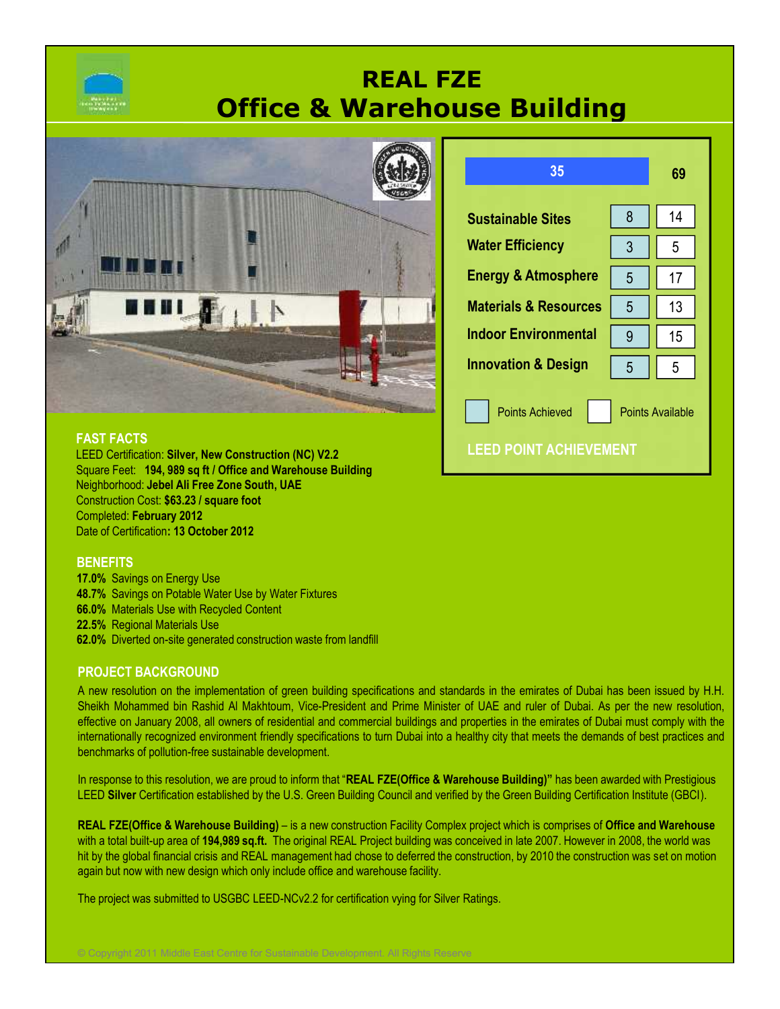

# **REAL FZE Office & Warehouse Building**



| <b>FAST FACTS</b> |  |  |
|-------------------|--|--|
|                   |  |  |
|                   |  |  |

**LEED POINT ACHIEVEMENT FAST FACTS** LEED Certification: **Silver, New Construction (NC) V2.2** Square Feet: **194, 989 sq ft / Office and Warehouse Building** Neighborhood: **Jebel Ali Free Zone South, UAE** Construction Cost: **\$63.23 / square foot** Completed: **February 2012** Date of Certification**: 13 October 2012**

#### **BENEFITS**

**17.0%** Savings on Energy Use **48.7%** Savings on Potable Water Use by Water Fixtures **66.0%** Materials Use with Recycled Content **22.5%** Regional Materials Use **62.0%** Diverted on-site generated construction waste from landfill

#### **PROJECT BACKGROUND**

A new resolution on the implementation of green building specifications and standards in the emirates of Dubai has been issued by H.H. Sheikh Mohammed bin Rashid Al Makhtoum, Vice-President and Prime Minister of UAE and ruler of Dubai. As per the new resolution, effective on January 2008, all owners of residential and commercial buildings and properties in the emirates of Dubai must comply with the internationally recognized environment friendly specifications to turn Dubai into a healthy city that meets the demands of best practices and benchmarks of pollution-free sustainable development.

In response to this resolution, we are proud to inform that "**REAL FZE(Office & Warehouse Building)"** has been awarded with Prestigious LEED **Silver** Certification established by the U.S. Green Building Council and verified by the Green Building Certification Institute (GBCI).

**REAL FZE(Office & Warehouse Building)** – is a new construction Facility Complex project which is comprises of **Office and Warehouse** with a total built-up area of **194,989 sq.ft.** The original REAL Project building was conceived in late 2007. However in 2008, the world was hit by the global financial crisis and REAL management had chose to deferred the construction, by 2010 the construction was set on motion again but now with new design which only include office and warehouse facility.

The project was submitted to USGBC LEED-NCv2.2 for certification vying for Silver Ratings.

© Copyright 2011 Middle East Centre for Sustainable Development. All Rights Reserve

| 35                               |   | 69               |
|----------------------------------|---|------------------|
| <b>Sustainable Sites</b>         | 8 | 14               |
| <b>Water Efficiency</b>          | 3 | 5                |
| <b>Energy &amp; Atmosphere</b>   | 5 | 17               |
| <b>Materials &amp; Resources</b> | 5 | 13               |
| <b>Indoor Environmental</b>      | 9 | 15               |
| <b>Innovation &amp; Design</b>   | 5 | 5                |
| <b>Points Achieved</b>           |   | Points Available |